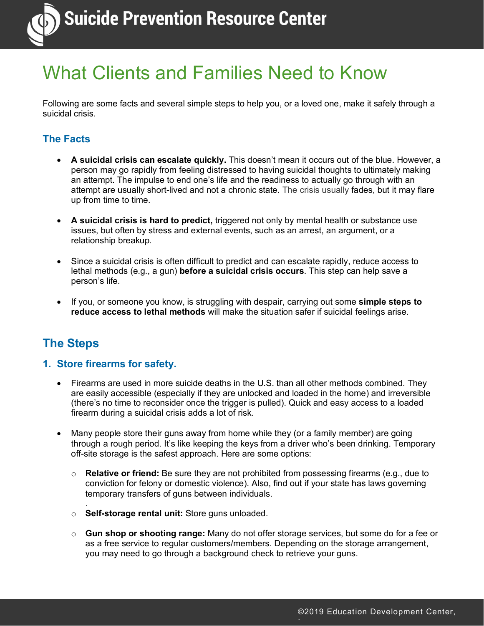

## What Clients and Families Need to Know

Following are some facts and several simple steps to help you, or a loved one, make it safely through a suicidal crisis.

#### **The Facts**

- **A suicidal crisis can escalate quickly.** This doesn't mean it occurs out of the blue. However, a person may go rapidly from feeling distressed to having suicidal thoughts to ultimately making an attempt. The impulse to end one's life and the readiness to actually go through with an attempt are usually short-lived and not a chronic state. The crisis usually fades, but it may flare up from time to time.
- **A suicidal crisis is hard to predict,** triggered not only by mental health or substance use issues, but often by stress and external events, such as an arrest, an argument, or a relationship breakup.
- Since a suicidal crisis is often difficult to predict and can escalate rapidly, reduce access to lethal methods (e.g., a gun) **before a suicidal crisis occurs**. This step can help save a person's life.
- If you, or someone you know, is struggling with despair, carrying out some **simple steps to reduce access to lethal methods** will make the situation safer if suicidal feelings arise.

### **The Steps**

.

#### **1. Store firearms for safety.**

- Firearms are used in more suicide deaths in the U.S. than all other methods combined. They are easily accessible (especially if they are unlocked and loaded in the home) and irreversible (there's no time to reconsider once the trigger is pulled). Quick and easy access to a loaded firearm during a suicidal crisis adds a lot of risk.
- Many people store their guns away from home while they (or a family member) are going through a rough period. It's like keeping the keys from a driver who's been drinking. Temporary off-site storage is the safest approach. Here are some options:
	- o **Relative or friend:** Be sure they are not prohibited from possessing firearms (e.g., due to conviction for felony or domestic violence). Also, find out if your state has laws governing temporary transfers of guns between individuals.
	- o **Self-storage rental unit:** Store guns unloaded.
	- o **Gun shop or shooting range:** Many do not offer storage services, but some do for a fee or as a free service to regular customers/members. Depending on the storage arrangement, you may need to go through a background check to retrieve your guns.

Inc.